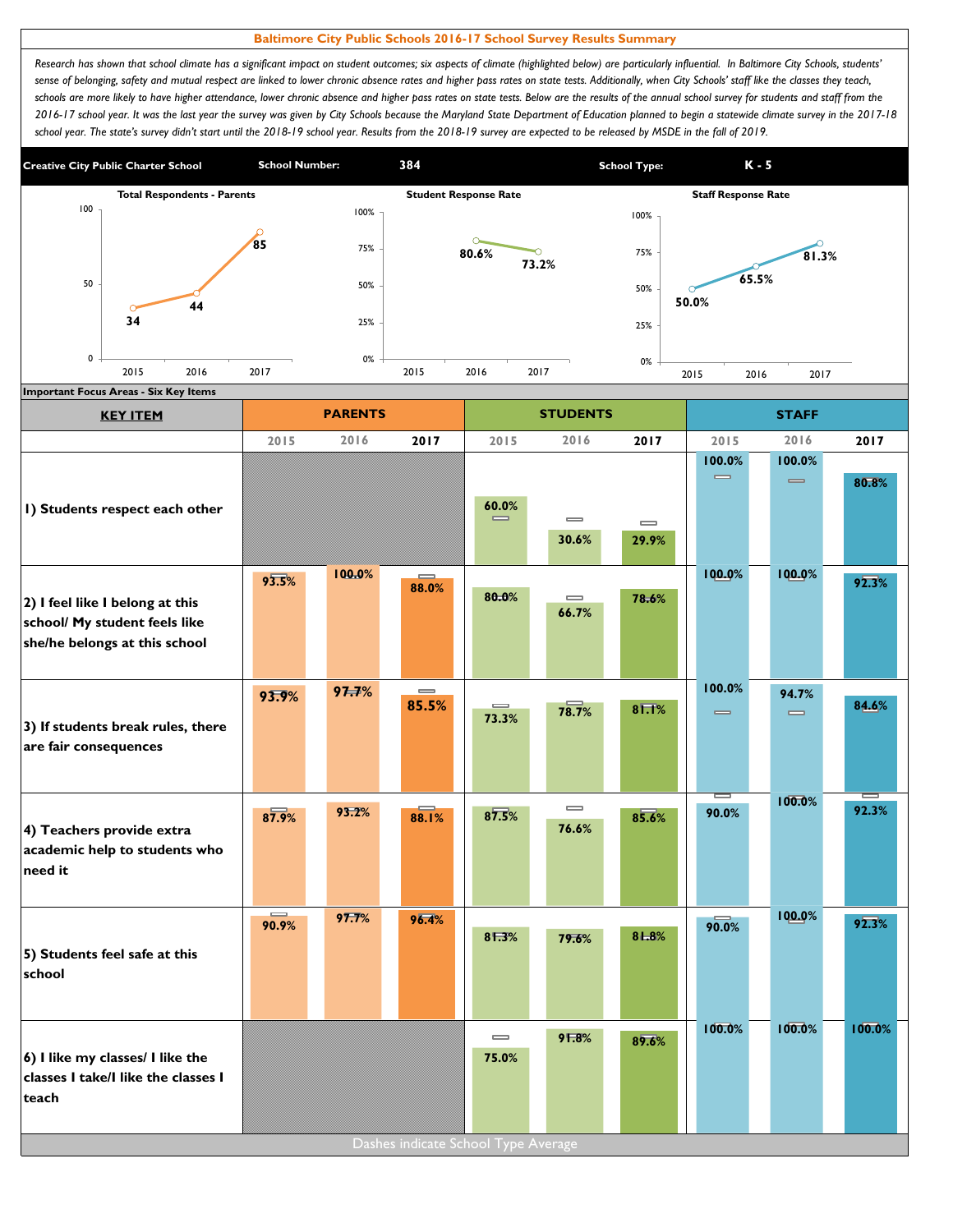## **Baltimore City Public Schools 2016-17 School Survey Results Summary**

*Research has shown that school climate has a significant impact on student outcomes; six aspects of climate (highlighted below) are particularly influential. In Baltimore City Schools, students' sense of belonging, safety and mutual respect are linked to lower chronic absence rates and higher pass rates on state tests. Additionally, when City Schools' staff like the classes they teach,*  schools are more likely to have higher attendance, lower chronic absence and higher pass rates on state tests. Below are the results of the annual school survey for students and staff from the *2016-17 school year. It was the last year the survey was given by City Schools because the Maryland State Department of Education planned to begin a statewide climate survey in the 2017-18*  school year. The state's survey didn't start until the 2018-19 school year. Results from the 2018-19 survey are expected to be released by MSDE in the fall of 2019.



| <b>KEY ITEM</b>                                                                                   |                   | <b>PARENTS</b> |                                       |                                       | <b>STUDENTS</b>   |                                       |                                        | <b>STAFF</b>                           |        |
|---------------------------------------------------------------------------------------------------|-------------------|----------------|---------------------------------------|---------------------------------------|-------------------|---------------------------------------|----------------------------------------|----------------------------------------|--------|
|                                                                                                   | 2015              | 2016           | 2017                                  | 2015                                  | 2016              | 2017                                  | 2015                                   | 2016                                   | 2017   |
| I) Students respect each other                                                                    |                   |                |                                       | 60.0%<br>$\equiv$                     | $\equiv$<br>30.6% | $\qquad \qquad \blacksquare$<br>29.9% | 100.0%<br>$\equiv$                     | 100.0%<br>$\qquad \qquad \blacksquare$ | 80.8%  |
| 2) I feel like I belong at this<br>school/ My student feels like<br>she/he belongs at this school | 93.5%             | 100.0%         | 88.0%                                 | 80.0%                                 | $\equiv$<br>66.7% | 78.6%                                 | 100.0%                                 | 100.0%                                 | 92.3%  |
| 3) If students break rules, there<br>are fair consequences                                        | 93.9%             | 97.7%          | $\qquad \qquad \blacksquare$<br>85.5% | $\equiv$<br>73.3%                     | 78.7%             | 81.1%                                 | 100.0%<br>$\qquad \qquad \blacksquare$ | 94.7%<br>$\equiv$                      | 84.6%  |
| 4) Teachers provide extra<br>academic help to students who<br>need it                             | 87.9%             | 93.2%          | 88.1%                                 | 87.5%                                 | $\equiv$<br>76.6% | 85.6%                                 | 90.0%                                  | 100.0%                                 | 92.3%  |
| 5) Students feel safe at this<br>school                                                           | $\equiv$<br>90.9% | 97.7%          | 96.4%                                 | 81.3%                                 | 79.6%             | 81.8%                                 | 90.0%                                  | 100.0%                                 | 92.3%  |
| 6) I like my classes/ I like the<br>classes I take/I like the classes I<br>teach                  |                   |                | Dashes indicate School Type Average   | $\qquad \qquad \blacksquare$<br>75.0% | 91.8%             | 89.6%                                 | 100.0%                                 | 100.0%                                 | 100.0% |